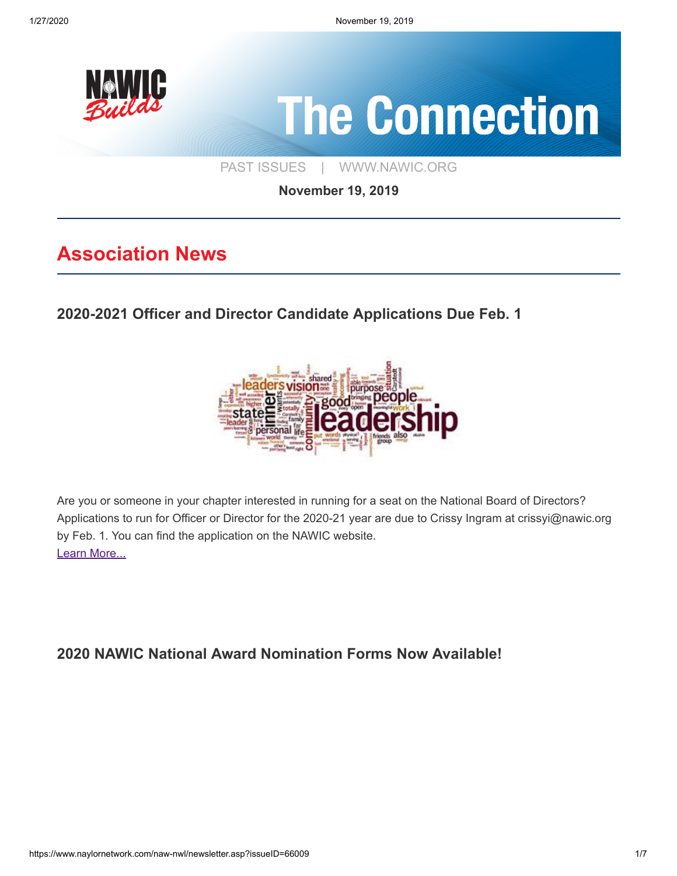

**November 19, 2019**

# **Association News**

**[2020-2021 Officer and Director Candidate Applications Due Feb. 1](https://www.nawic.org/NewsBot.asp?MODE=VIEW&ID=379)**



Are you or someone in your chapter interested in running for a seat on the National Board of Directors? Applications to run for Officer or Director for the 2020-21 year are due to Crissy Ingram at crissyi@nawic.org by Feb. 1. You can find the application on the NAWIC website. [Learn More...](https://www.nawic.org/NewsBot.asp?MODE=VIEW&ID=379)

**[2020 NAWIC National Award Nomination Forms Now Available!](https://www.nawic.org/nawic/Awards.asp)**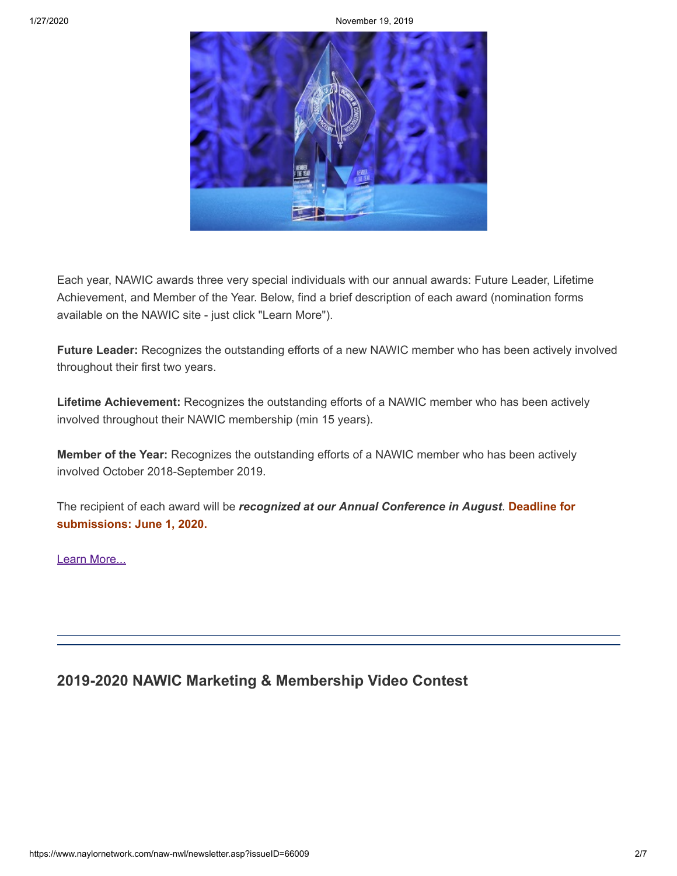1/27/2020 November 19, 2019



Each year, NAWIC awards three very special individuals with our annual awards: Future Leader, Lifetime Achievement, and Member of the Year. Below, find a brief description of each award (nomination forms available on the NAWIC site - just click "Learn More").

**Future Leader:** Recognizes the outstanding efforts of a new NAWIC member who has been actively involved throughout their first two years.

**Lifetime Achievement:** Recognizes the outstanding efforts of a NAWIC member who has been actively involved throughout their NAWIC membership (min 15 years).

**Member of the Year:** Recognizes the outstanding efforts of a NAWIC member who has been actively involved October 2018-September 2019.

The recipient of each award will be *recognized at our Annual Conference in August*. **Deadline for submissions: June 1, 2020.**

[Learn More...](https://www.nawic.org/nawic/Awards.asp)

## **[2019-2020 NAWIC Marketing & Membership Video Contest](https://www.nawic.org/nawic/Membership.asp)**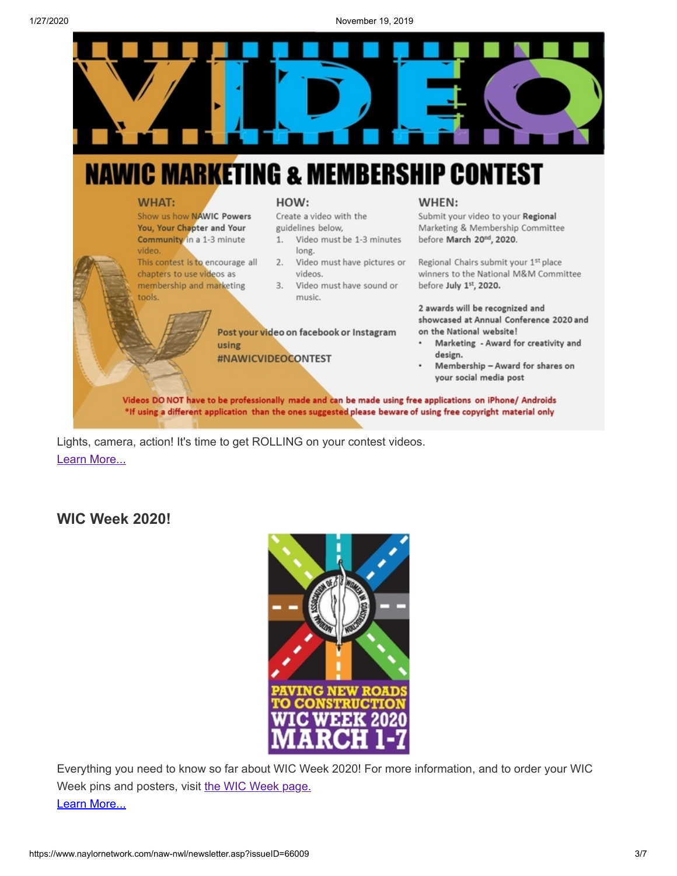

#### **WHAT:**

video.

tools.

Show us how NAWIC Powers

You, Your Chapter and Your

Community in a 1-3 minute

chapters to use videos as

membership and marketing

This contest is to encourage all

HOW:

Create a video with the guidelines below,

- $1.$ Video must be 1-3 minutes long.
- 2. Video must have pictures or videos.
- 3. Video must have sound or music.

Post your video on facebook or Instagram using #NAWICVIDEOCONTEST

#### WHEN:

Submit your video to your Regional Marketing & Membership Committee before March 20<sup>nd</sup>, 2020.

Regional Chairs submit your 1st place winners to the National M&M Committee before July 1st, 2020.

2 awards will be recognized and showcased at Annual Conference 2020 and on the National website!

- Marketing Award for creativity and design.
- Membership Award for shares on your social media post

Videos DO NOT have to be professionally made and can be made using free applications on iPhone/ Androids \*If using a different application than the ones suggested please beware of using free copyright material only

Lights, camera, action! It's time to get ROLLING on your contest videos. [Learn More...](https://www.nawic.org/nawic/Membership.asp)

### **[WIC Week 2020!](https://www.naylornetwork.com/naw-nwl/pdf/Women_in_Construction_Week_Flyer.pdf)**



Everything you need to know so far about WIC Week 2020! For more information, and to order your WIC Week pins and posters, visit [the WIC Week page.](https://www.nawic.org/nawic/wicweek.asp) [Learn More...](https://www.naylornetwork.com/naw-nwl/pdf/Women_in_Construction_Week_Flyer.pdf)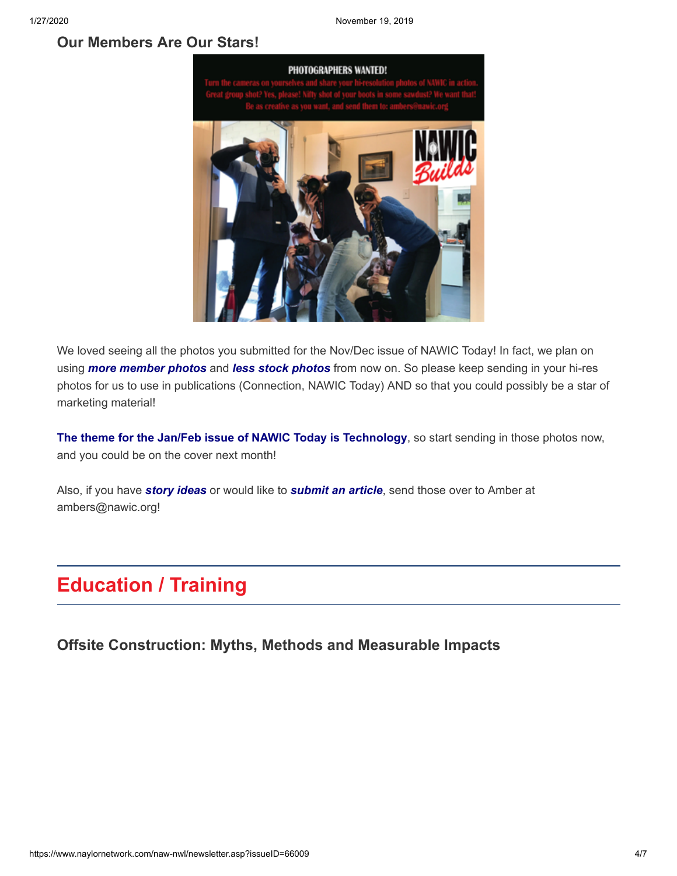#### **[Our Members Are Our Stars!](https://www.naylornetwork.com/naw-nwl/articles/index.asp?aid=590315&issueID=66009)**



We loved seeing all the photos you submitted for the Nov/Dec issue of NAWIC Today! In fact, we plan on using *more member photos* and *less stock photos* from now on. So please keep sending in your hi-res photos for us to use in publications (Connection, NAWIC Today) AND so that you could possibly be a star of marketing material!

**The theme for the Jan/Feb issue of NAWIC Today is Technology**, so start sending in those photos now, and you could be on the cover next month!

Also, if you have *story ideas* or would like to *submit an article*, send those over to Amber at ambers@nawic.org!

# **Education / Training**

**[Offsite Construction: Myths, Methods and Measurable Impacts](https://webinars.constructionexec.com/webinar/offsite-construction-myths-methods-and-measurable-impacts/?utm_source=2019_12&utm_medium=email&utm_campaign=digital_edition&dlv-emuid=7a58ed88-3ff5-4b96-8993-fa18f5235353&dlv-mlid=1712446)**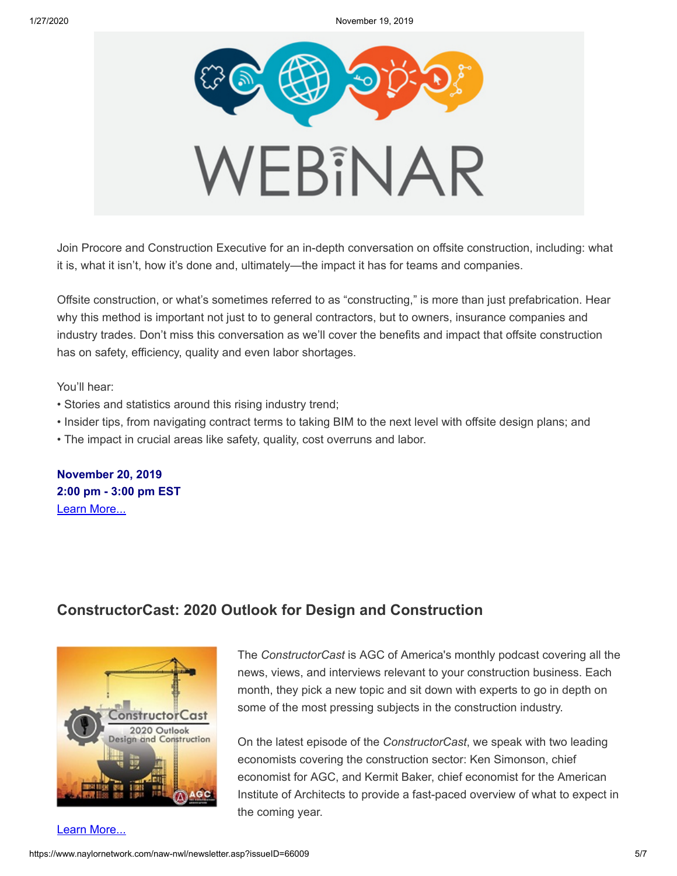

Join Procore and Construction Executive for an in-depth conversation on offsite construction, including: what it is, what it isn't, how it's done and, ultimately—the impact it has for teams and companies.

Offsite construction, or what's sometimes referred to as "constructing," is more than just prefabrication. Hear why this method is important not just to to general contractors, but to owners, insurance companies and industry trades. Don't miss this conversation as we'll cover the benefits and impact that offsite construction has on safety, efficiency, quality and even labor shortages.

You'll hear:

- Stories and statistics around this rising industry trend;
- Insider tips, from navigating contract terms to taking BIM to the next level with offsite design plans; and
- The impact in crucial areas like safety, quality, cost overruns and labor.

**November 20, 2019 2:00 pm - 3:00 pm EST** [Learn More...](https://webinars.constructionexec.com/webinar/offsite-construction-myths-methods-and-measurable-impacts/?utm_source=2019_12&utm_medium=email&utm_campaign=digital_edition&dlv-emuid=7a58ed88-3ff5-4b96-8993-fa18f5235353&dlv-mlid=1712446)

# **[ConstructorCast: 2020 Outlook for Design and Construction](https://soundcloud.com/agcofamerica/constructorcast-2020-outlook-for-design-and-construction)**



[Learn More...](https://soundcloud.com/agcofamerica/constructorcast-2020-outlook-for-design-and-construction)

The *ConstructorCast* is AGC of America's monthly podcast covering all the news, views, and interviews relevant to your construction business. Each month, they pick a new topic and sit down with experts to go in depth on some of the most pressing subjects in the construction industry.

On the latest episode of the *ConstructorCast*, we speak with two leading economists covering the construction sector: Ken Simonson, chief economist for AGC, and Kermit Baker, chief economist for the American Institute of Architects to provide a fast-paced overview of what to expect in the coming year.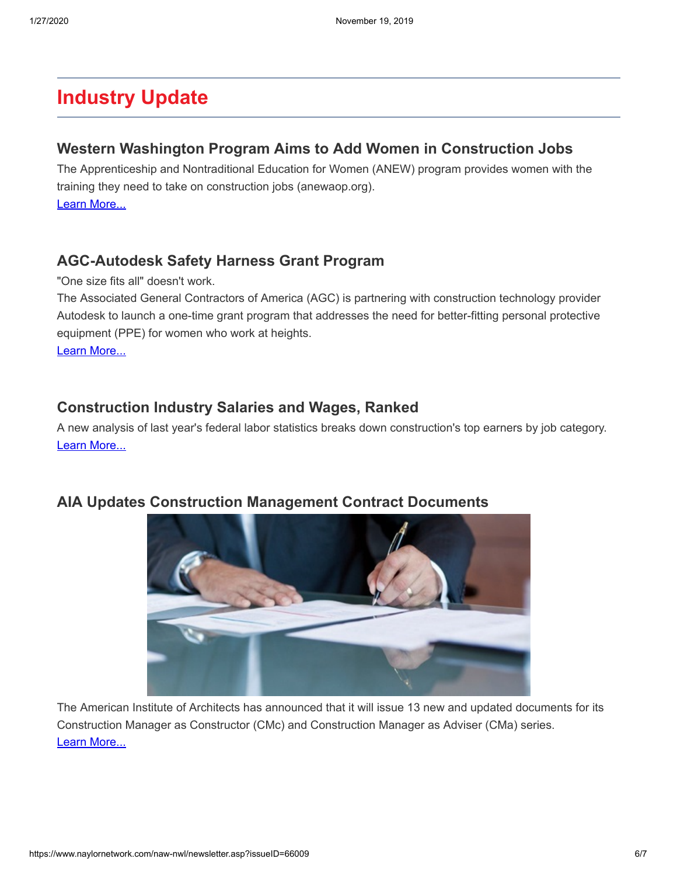# **Industry Update**

#### **[Western Washington Program Aims to Add Women in Construction Jobs](https://www.king5.com/article/news/local/seattle/women-in-construction/281-eddee233-2f73-4062-8456-17097153b4e5)**

The Apprenticeship and Nontraditional Education for Women (ANEW) program provides women with the training they need to take on construction jobs (anewaop.org). [Learn More...](https://www.king5.com/article/news/local/seattle/women-in-construction/281-eddee233-2f73-4062-8456-17097153b4e5)

### **[AGC-Autodesk Safety Harness Grant Program](https://www.agc.org/industry-priorities/safety-health/agc-autodesk-safety-harness-grant-program)**

"One size fits all" doesn't work.

The Associated General Contractors of America (AGC) is partnering with construction technology provider Autodesk to launch a one-time grant program that addresses the need for better-fitting personal protective equipment (PPE) for women who work at heights.

[Learn More...](https://www.agc.org/industry-priorities/safety-health/agc-autodesk-safety-harness-grant-program)

### **[Construction Industry Salaries and Wages, Ranked](https://www.constructiondive.com/news/construction-industry-salaries-and-wages-ranked/567138/)**

A new analysis of last year's federal labor statistics breaks down construction's top earners by job category. [Learn More...](https://www.constructiondive.com/news/construction-industry-salaries-and-wages-ranked/567138/)



### **[AIA Updates Construction Management Contract Documents](https://www.constructiondive.com/news/aia-updates-construction-management-contract-documents/567127/)**

The American Institute of Architects has announced that it will issue 13 new and updated documents for its Construction Manager as Constructor (CMc) and Construction Manager as Adviser (CMa) series. [Learn More...](https://www.constructiondive.com/news/aia-updates-construction-management-contract-documents/567127/)